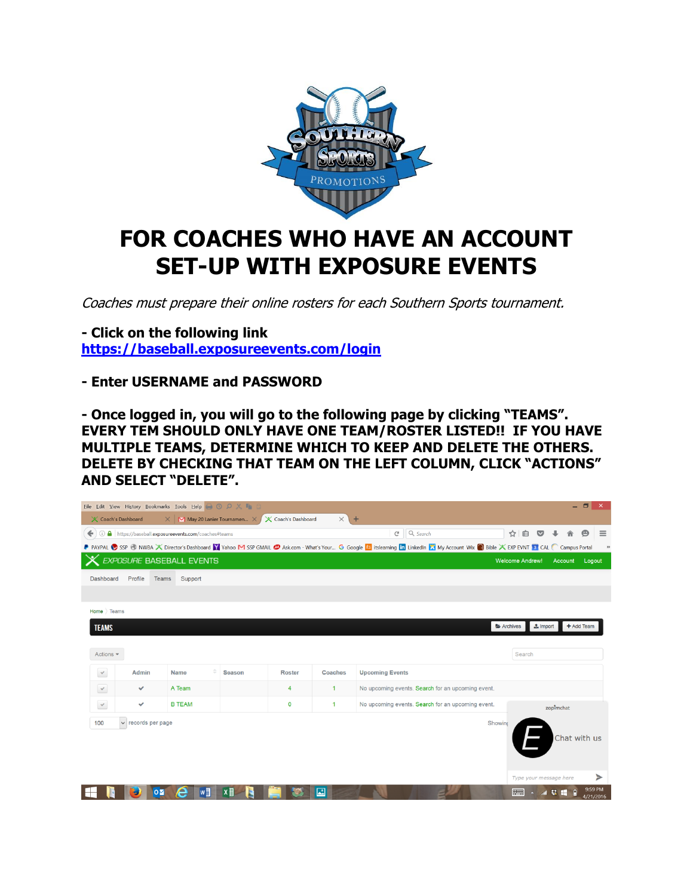

## **FOR COACHES WHO HAVE AN ACCOUNT SET-UP WITH EXPOSURE EVENTS**

Coaches must prepare their online rosters for each Southern Sports tournament.

**- Click on the following link <https://baseball.exposureevents.com/login>**

**- Enter USERNAME and PASSWORD**

**- Once logged in, you will go to the following page by clicking "TEAMS". EVERY TEM SHOULD ONLY HAVE ONE TEAM/ROSTER LISTED!! IF YOU HAVE MULTIPLE TEAMS, DETERMINE WHICH TO KEEP AND DELETE THE OTHERS. DELETE BY CHECKING THAT TEAM ON THE LEFT COLUMN, CLICK "ACTIONS" AND SELECT "DELETE".**

| $ \Box$ $\times$<br>Eile Edit View History Bookmarks Tools Help & O O X In C                                              |                         |                                                         |               |               |              |                           |                                                                                                                                                                                      |                        |              |                        |                      |          |
|---------------------------------------------------------------------------------------------------------------------------|-------------------------|---------------------------------------------------------|---------------|---------------|--------------|---------------------------|--------------------------------------------------------------------------------------------------------------------------------------------------------------------------------------|------------------------|--------------|------------------------|----------------------|----------|
| $\times$<br>X Coach's Dashboard<br>$+$<br>$\mathbb N$ May 20 Lanier Tournamen $\times$<br>X Coach's Dashboard<br>$\times$ |                         |                                                         |               |               |              |                           |                                                                                                                                                                                      |                        |              |                        |                      |          |
|                                                                                                                           |                         | ← 0 a https://baseball.exposureevents.com/coaches#teams |               |               |              | $\mathsf{C}^{\mathsf{I}}$ | Q Search                                                                                                                                                                             | ☆<br>自                 |              |                        |                      | $\equiv$ |
|                                                                                                                           |                         |                                                         |               |               |              |                           | P PAYPAL SSP @ NWBA X Director's Dashboard Y Yahoo M SSP GMAIL @ Ask.com - What's Your G Google Is itslearning In LinkedIn X My Account Wix @ Bible X EXP EVNT 3 CAL C Campus Portal |                        |              |                        |                      |          |
|                                                                                                                           |                         | X EXPOSURE BASEBALL EVENTS                              |               |               |              |                           |                                                                                                                                                                                      | <b>Welcome Andrew!</b> |              | Account                | Logout               |          |
| Dashboard                                                                                                                 | Profile<br>Teams        | Support                                                 |               |               |              |                           |                                                                                                                                                                                      |                        |              |                        |                      |          |
|                                                                                                                           |                         |                                                         |               |               |              |                           |                                                                                                                                                                                      |                        |              |                        |                      |          |
| Home Teams                                                                                                                |                         |                                                         |               |               |              |                           |                                                                                                                                                                                      |                        |              |                        |                      |          |
| <b>TEAMS</b>                                                                                                              |                         |                                                         |               |               |              |                           |                                                                                                                                                                                      | Archives               | $\pm$ Import |                        | + Add Team           |          |
|                                                                                                                           |                         |                                                         |               |               |              |                           |                                                                                                                                                                                      |                        |              |                        |                      |          |
| Actions $\blacktriangledown$                                                                                              |                         |                                                         |               |               |              |                           |                                                                                                                                                                                      | Search                 |              |                        |                      |          |
|                                                                                                                           | Admin                   | <b>Name</b>                                             | <b>Season</b> |               | Coaches      | <b>Upcoming Events</b>    |                                                                                                                                                                                      |                        |              |                        |                      |          |
| $\checkmark$                                                                                                              |                         |                                                         |               | <b>Roster</b> |              |                           |                                                                                                                                                                                      |                        |              |                        |                      |          |
| $\checkmark$                                                                                                              | ✓                       | A Team                                                  |               | 4             | 1            |                           | No upcoming events. Search for an upcoming event.                                                                                                                                    |                        |              |                        |                      |          |
| $\checkmark$                                                                                                              | $\checkmark$            | <b>B TEAM</b>                                           |               | $\mathbf 0$   | $\mathbf{1}$ |                           | No upcoming events. Search for an upcoming event.                                                                                                                                    |                        |              | zopimchat              |                      |          |
| 100                                                                                                                       | $\vee$ records per page |                                                         |               |               |              |                           |                                                                                                                                                                                      | Showing                |              |                        |                      |          |
|                                                                                                                           |                         |                                                         |               |               |              |                           |                                                                                                                                                                                      |                        |              | Chat with us           |                      |          |
|                                                                                                                           |                         |                                                         |               |               |              |                           |                                                                                                                                                                                      |                        |              |                        |                      |          |
|                                                                                                                           |                         |                                                         |               |               |              |                           |                                                                                                                                                                                      |                        |              |                        |                      |          |
|                                                                                                                           |                         |                                                         |               |               |              |                           |                                                                                                                                                                                      |                        |              | Type your message here |                      | ➤        |
|                                                                                                                           | $\overline{O}$          | Iw<br>e                                                 | ×目            |               | 國            |                           |                                                                                                                                                                                      |                        |              | 劫<br>H                 | 9:59 PM<br>4/21/2016 |          |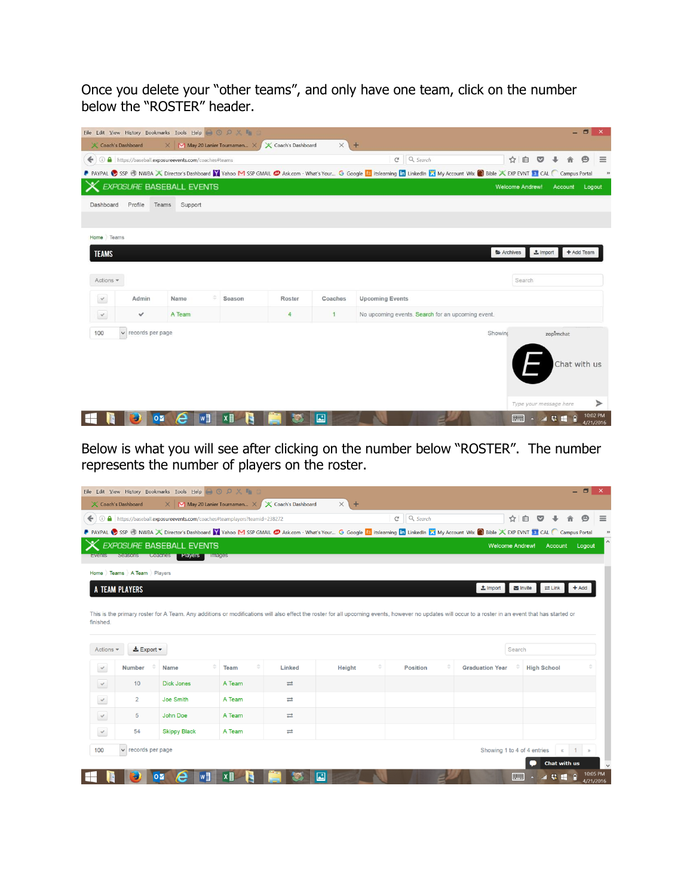Once you delete your "other teams", and only have one team, click on the number below the "ROSTER" header.

|                     |                    | Eile Edit View History Bookmarks Tools Help & O O X II     |                             |                     |              |                                                                                                                                                                                       |                        |                        |            | $ \Box$<br>$\mathbf{x}$ |
|---------------------|--------------------|------------------------------------------------------------|-----------------------------|---------------------|--------------|---------------------------------------------------------------------------------------------------------------------------------------------------------------------------------------|------------------------|------------------------|------------|-------------------------|
| X Coach's Dashboard |                    | $\times$                                                   | M May 20 Lanier Tournamen X | X Coach's Dashboard | $\times$     | $+$                                                                                                                                                                                   |                        |                        |            |                         |
| ↞                   |                    | <b>a</b> https://baseball.exposureevents.com/coaches#teams |                             |                     |              | $C^{\prime}$ Q Search                                                                                                                                                                 | ☆自                     | $\circ$                |            | $\Theta$<br>$\equiv$    |
|                     |                    |                                                            |                             |                     |              | P PAYPAL SSP & NWBA X Director's Dashboard V Yahoo M SSP GMAIL @ Ask.com - What's Your G Google Le itslearning in LinkedIn X My Account Wix @ Bible X EXP EVNT ST CAL C Campus Portal |                        |                        |            |                         |
|                     |                    | <b>EXPOSURE BASEBALL EVENTS</b>                            |                             |                     |              |                                                                                                                                                                                       | <b>Welcome Andrew!</b> |                        | Account    | Logout                  |
| Dashboard           | Profile<br>Teams   | Support                                                    |                             |                     |              |                                                                                                                                                                                       |                        |                        |            |                         |
|                     |                    |                                                            |                             |                     |              |                                                                                                                                                                                       |                        |                        |            |                         |
| Home Teams          |                    |                                                            |                             |                     |              |                                                                                                                                                                                       |                        |                        |            |                         |
|                     |                    |                                                            |                             |                     |              |                                                                                                                                                                                       |                        |                        |            |                         |
| <b>TEAMS</b>        |                    |                                                            |                             |                     |              |                                                                                                                                                                                       | Archives               | $#$ Import             | + Add Team |                         |
|                     |                    |                                                            |                             |                     |              |                                                                                                                                                                                       |                        |                        |            |                         |
| Actions $\equiv$    |                    |                                                            |                             |                     |              |                                                                                                                                                                                       | Search                 |                        |            |                         |
| $\checkmark$        | Admin              | Name                                                       | Season                      | Roster              | Coaches      | <b>Upcoming Events</b>                                                                                                                                                                |                        |                        |            |                         |
| $\checkmark$        | ✓                  | A Team                                                     |                             | $\overline{4}$      | $\mathbf{1}$ | No upcoming events. Search for an upcoming event.                                                                                                                                     |                        |                        |            |                         |
| 100                 | v records per page |                                                            |                             |                     |              |                                                                                                                                                                                       | Showing                | zopimchat              |            |                         |
|                     |                    |                                                            |                             |                     |              |                                                                                                                                                                                       |                        |                        |            |                         |
|                     |                    |                                                            |                             |                     |              |                                                                                                                                                                                       |                        |                        |            | Chat with us            |
|                     |                    |                                                            |                             |                     |              |                                                                                                                                                                                       |                        |                        |            |                         |
|                     |                    |                                                            |                             |                     |              |                                                                                                                                                                                       |                        |                        |            |                         |
|                     |                    |                                                            |                             |                     |              |                                                                                                                                                                                       |                        | Type your message here |            | ⋗                       |
|                     | OZ                 | $w\overline{a}$<br>A                                       | ×目                          |                     | $\mathbb{Z}$ |                                                                                                                                                                                       |                        | - 3 登場日                |            | 10:02 PM                |

Below is what you will see after clicking on the number below "ROSTER". The number represents the number of players on the roster.

|                                                                                                            | Eile Edit View History Bookmarks Tools Help & O O X In C                                                                                                                                             |                                                                             |                                               |                     |                                                                                                                                                                                      |                                                               |                             |                                                  |                |
|------------------------------------------------------------------------------------------------------------|------------------------------------------------------------------------------------------------------------------------------------------------------------------------------------------------------|-----------------------------------------------------------------------------|-----------------------------------------------|---------------------|--------------------------------------------------------------------------------------------------------------------------------------------------------------------------------------|---------------------------------------------------------------|-----------------------------|--------------------------------------------------|----------------|
|                                                                                                            | X Coach's Dashboard                                                                                                                                                                                  | $\times$                                                                    | $\mathbf{M}$ May 20 Lanier Tournamen $\times$ | X Coach's Dashboard | $\times$ +                                                                                                                                                                           |                                                               |                             |                                                  |                |
|                                                                                                            |                                                                                                                                                                                                      | ← 0 A https://baseball.exposureevents.com/coaches#teamplayers?teamid=238272 |                                               |                     |                                                                                                                                                                                      | $Q$ , Search<br>$\mathsf{C}^{\scriptscriptstyle{\mathsf{d}}}$ | ☆                           | 自<br>$\bullet$                                   |                |
|                                                                                                            |                                                                                                                                                                                                      |                                                                             |                                               |                     | P PAYPAL SSP @ NWBA X Director's Dashboard Y Yahoo M SSP GMAIL @ Ask.com - What's Your G Google Is itslearning in LinkedIn X My Account Wix @ Bible X EXP EVNT 3 CAL C Campus Portal |                                                               |                             |                                                  |                |
|                                                                                                            |                                                                                                                                                                                                      | X EXPOSURE BASEBALL EVENTS                                                  |                                               |                     |                                                                                                                                                                                      |                                                               | <b>Welcome Andrew!</b>      |                                                  | Account Logout |
|                                                                                                            |                                                                                                                                                                                                      | Events Seasons Coaches Players Images                                       |                                               |                     |                                                                                                                                                                                      |                                                               |                             |                                                  |                |
|                                                                                                            | Home Teams A Team Players                                                                                                                                                                            |                                                                             |                                               |                     |                                                                                                                                                                                      |                                                               |                             |                                                  |                |
|                                                                                                            | A TEAM PLAYERS                                                                                                                                                                                       |                                                                             |                                               |                     |                                                                                                                                                                                      |                                                               | $\pm$ Import                | $\blacksquare$ Invite<br>$\rightleftarrows$ Link | $+Add$         |
|                                                                                                            |                                                                                                                                                                                                      |                                                                             |                                               |                     |                                                                                                                                                                                      |                                                               |                             |                                                  |                |
|                                                                                                            | This is the primary roster for A Team. Any additions or modifications will also effect the roster for all upcoming events, however no updates will occur to a roster in an event that has started or |                                                                             |                                               |                     |                                                                                                                                                                                      |                                                               |                             |                                                  |                |
|                                                                                                            |                                                                                                                                                                                                      |                                                                             |                                               |                     |                                                                                                                                                                                      |                                                               |                             |                                                  |                |
|                                                                                                            | $\pm$ Export $\sim$                                                                                                                                                                                  |                                                                             |                                               |                     |                                                                                                                                                                                      |                                                               | Search                      |                                                  |                |
|                                                                                                            | <b>Number</b>                                                                                                                                                                                        | <b>Name</b>                                                                 | Team                                          | Linked              | $\div$<br>Height                                                                                                                                                                     | <b>Position</b>                                               | <b>Graduation Year</b>      | <b>High School</b>                               |                |
|                                                                                                            | 10                                                                                                                                                                                                   | <b>Dick Jones</b>                                                           | A Team                                        | $\rightleftarrows$  |                                                                                                                                                                                      |                                                               |                             |                                                  |                |
|                                                                                                            | $\overline{2}$                                                                                                                                                                                       | Joe Smith                                                                   | A Team                                        | $\rightleftarrows$  |                                                                                                                                                                                      |                                                               |                             |                                                  |                |
| finished.<br>Actions $\blacktriangleright$<br>$\checkmark$<br>$\checkmark$<br>$\checkmark$<br>$\checkmark$ | 5                                                                                                                                                                                                    | John Doe                                                                    | A Team                                        | ≓                   |                                                                                                                                                                                      |                                                               |                             |                                                  |                |
|                                                                                                            | 54                                                                                                                                                                                                   | <b>Skippy Black</b>                                                         | A Team                                        | $\rightleftarrows$  |                                                                                                                                                                                      |                                                               |                             |                                                  |                |
| $\checkmark$<br>100                                                                                        | v records per page                                                                                                                                                                                   |                                                                             |                                               |                     |                                                                                                                                                                                      |                                                               | Showing 1 to 4 of 4 entries | $\ll$                                            | $1 \times$     |
|                                                                                                            |                                                                                                                                                                                                      |                                                                             |                                               |                     |                                                                                                                                                                                      |                                                               |                             | Chat with us                                     |                |